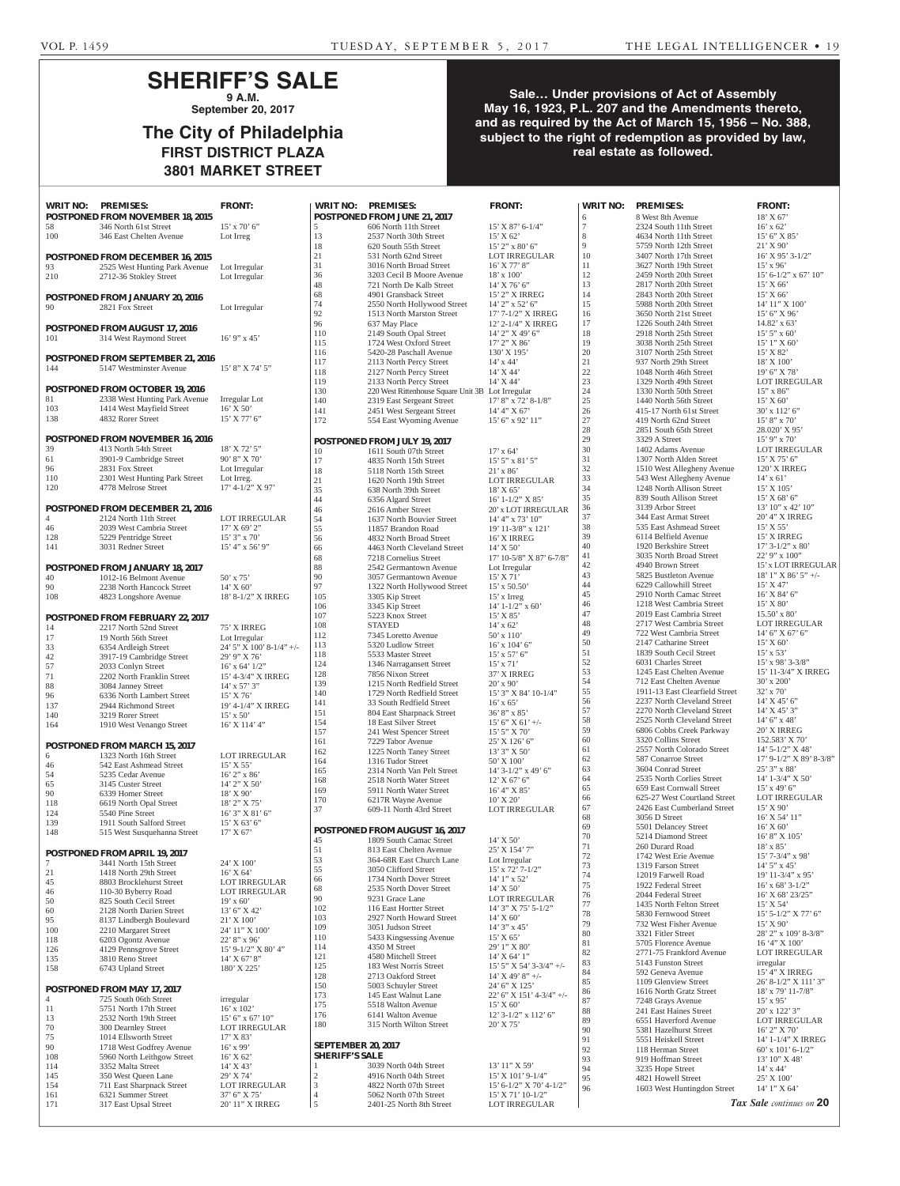## **SHERIFF'S SALE 9 A.M.**

**September 20, 2017**

# **The City of Philadelphia FIRST DISTRICT PLAZA 3801 MARKET STREET**

### **Sale… Under provisions of Act of Assembly May 16, 1923, P.L. 207 and the Amendments thereto, and as required by the Act of March 15, 1956 – No. 388, subject to the right of redemption as provided by law, real estate as followed.**

| <b>WRIT NO:</b>  | <b>PREMISES:</b>                                  | <b>FRONT:</b>                            | <b>WRIT NO:</b>           | <b>PREMISES:</b>                                                             | <b>FRONT:</b>                           | <b>WRIT NO:</b>     | <b>PREMISES:</b>                                           | <b>FRONT:</b>                               |
|------------------|---------------------------------------------------|------------------------------------------|---------------------------|------------------------------------------------------------------------------|-----------------------------------------|---------------------|------------------------------------------------------------|---------------------------------------------|
|                  | <b>POSTPONED FROM NOVEMBER 18, 2015</b>           |                                          |                           | POSTPONED FROM JUNE 21, 2017                                                 |                                         | 6<br>$\overline{7}$ | 8 West 8th Avenue                                          | 18' X 67'                                   |
| 58<br>100        | 346 North 61st Street<br>346 East Chelten Avenue  | $15'$ x 70' 6"<br>Lot Irreg              | 5<br>13                   | 606 North 11th Street<br>2537 North 30th Street                              | $15'$ X 87' 6-1/4"<br>$15'$ X 62'       | $\,8\,$             | 2324 South 11th Street<br>4634 North 11th Street           | $16'$ x 62'<br>15' 6" X 85'                 |
|                  |                                                   |                                          | 18                        | 620 South 55th Street                                                        | 15' 2" x 80' 6"                         | 9                   | 5759 North 12th Street                                     | $21'$ X 90'                                 |
|                  | POSTPONED FROM DECEMBER 16, 2015                  |                                          | 21                        | 531 North 62nd Street                                                        | LOT IRREGULAR                           | 10                  | 3407 North 17th Street                                     | $16'$ X 95' 3-1/2"                          |
| 93               | 2525 West Hunting Park Avenue                     | Lot Irregular                            | 31                        | 3016 North Broad Street                                                      | 16' X 77' 8"                            | 11                  | 3627 North 19th Street                                     | $15'$ x 96'                                 |
| 210              | 2712-36 Stokley Street                            | Lot Irregular                            | 36                        | 3203 Cecil B Moore Avenue                                                    | $18' \times 100'$                       | 12                  | 2459 North 20th Street                                     | 15' 6-1/2" x 67' 10"                        |
|                  |                                                   |                                          | 48                        | 721 North De Kalb Street                                                     | 14' X 76' 6"                            | 13                  | 2817 North 20th Street                                     | 15' X 66'                                   |
|                  | <b>POSTPONED FROM JANUARY 20, 2016</b>            |                                          | 68                        | 4901 Gransback Street                                                        | 15' 2" X IRREG                          | 14                  | 2843 North 20th Street                                     | 15' X 66'                                   |
| 90               | 2821 Fox Street                                   | Lot Irregular                            | 74<br>92                  | 2550 North Hollywood Street<br>1513 North Marston Street                     | 14' 2" x 52' 6"<br>17' 7-1/2" X IRREG   | 15<br>16            | 5988 North 20th Street<br>3650 North 21st Street           | 14' 11" X 100'<br>15' 6'' X 96'             |
|                  |                                                   |                                          | 96                        | 637 May Place                                                                | 12' 2-1/4" X IRREG                      | 17                  | 1226 South 24th Street                                     | $14.82'$ x 63'                              |
|                  | POSTPONED FROM AUGUST 17, 2016                    |                                          | 110                       | 2149 South Opal Street                                                       | 14' 2" X 49' 6"                         | 18                  | 2918 North 25th Street                                     | $15'$ 5" x 60"                              |
| 101              | 314 West Raymond Street                           | $16'$ 9" x 45'                           | 115                       | 1724 West Oxford Street                                                      | 17' 2" X 86'                            | 19                  | 3038 North 25th Street                                     | 15' 1" X 60'                                |
|                  | POSTPONED FROM SEPTEMBER 21, 2016                 |                                          | 116                       | 5420-28 Paschall Avenue                                                      | 130' X 195'                             | 20                  | 3107 North 25th Street                                     | 15' X 82'                                   |
| 144              | 5147 Westminster Avenue                           | 15' 8" X 74' 5"                          | 117                       | 2113 North Percy Street                                                      | $14'$ x $44'$                           | 21                  | 937 North 29th Street                                      | 18' X 100'                                  |
|                  |                                                   |                                          | 118<br>119                | 2127 North Percy Street                                                      | 14' X 44'<br>$14'$ X 44'                | 22<br>$23\,$        | 1048 North 46th Street<br>1329 North 49th Street           | $19'6''$ X 78'                              |
|                  | <b>POSTPONED FROM OCTOBER 19, 2016</b>            |                                          | 130                       | 2133 North Percy Street<br>220 West Rittenhouse Square Unit 3B Lot Irregular |                                         | 24                  | 1330 North 50th Street                                     | LOT IRREGULAR<br>$15"$ x 86"                |
| 81               | 2338 West Hunting Park Avenue                     | Irregular Lot                            | 140                       | 2319 East Sergeant Street                                                    | $17'$ 8" x 72' 8-1/8"                   | $25\,$              | 1440 North 56th Street                                     | 15' X 60'                                   |
| 103              | 1414 West Mayfield Street                         | $16'$ X 50'                              | 141                       | 2451 West Sergeant Street                                                    | 14' 4" X 67'                            | $26\,$              | 415-17 North 61st Street                                   | 30' x 112' 6"                               |
| 138              | 4832 Rorer Street                                 | $15'$ X 77' 6"                           | 172                       | 554 East Wyoming Avenue                                                      | 15' 6" x 92' 11"                        | 27                  | 419 North 62nd Street                                      | 15' 8" x 70'                                |
|                  |                                                   |                                          |                           |                                                                              |                                         | 28                  | 2851 South 65th Street                                     | 28.020' X 95'                               |
|                  | POSTPONED FROM NOVEMBER 16, 2016                  |                                          |                           | POSTPONED FROM JULY 19, 2017                                                 |                                         | 29                  | 3329 A Street                                              | $15'$ 9" x 70"                              |
| 39<br>61         | 413 North 54th Street<br>3901-9 Cambridge Street  | 18' X 72' 5"<br>90' 8'' X 70'            | 10                        | 1611 South 07th Street                                                       | $17'$ x 64'                             | 30<br>31            | 1402 Adams Avenue<br>1307 North Alden Street               | LOT IRREGULAR<br>$15'$ X 75' 6"             |
| 96               | 2831 Fox Street                                   | Lot Irregular                            | 17                        | 4835 North 15th Street                                                       | 15' 5" x 81' 5"                         | 32                  | 1510 West Allegheny Avenue                                 | 120' X IRREG                                |
| 110              | 2301 West Hunting Park Street                     | Lot Irreg.                               | 18<br>21                  | 5118 North 15th Street<br>1620 North 19th Street                             | $21'$ x 86'<br><b>LOT IRREGULAR</b>     | 33                  | 543 West Allegheny Avenue                                  | $14'$ x 61'                                 |
| 120              | 4778 Melrose Street                               | $17'$ 4-1/2" X 97'                       | 35                        | 638 North 39th Street                                                        | 18' X 65'                               | 34                  | 1248 North Allison Street                                  | 15' X 105'                                  |
|                  |                                                   |                                          | 44                        | 6356 Algard Street                                                           | $16'$ 1-1/2" X 85'                      | 35                  | 839 South Allison Street                                   | $15'$ X 68' 6"                              |
|                  | POSTPONED FROM DECEMBER 21, 2016                  |                                          | 46                        | 2616 Amber Street                                                            | 20' x LOT IRREGULAR                     | 36                  | 3139 Arbor Street                                          | 13' 10" x 42' 10"                           |
| 4                | 2124 North 11th Street                            | <b>LOT IRREGULAR</b>                     | 54                        | 1637 North Bouvier Street                                                    | 14' 4" x 73' 10"                        | 37                  | 344 East Armat Street                                      | 20' 4" X IRREG                              |
| 46               | 2039 West Cambria Street                          | 17' X 69' 2''                            | 55                        | 11857 Brandon Road                                                           | 19' 11-3/8" x 121'                      | 38                  | 535 East Ashmead Street                                    | $15'$ X 55'                                 |
| 128              | 5229 Pentridge Street                             | $15'3''$ x 70'                           | 56                        | 4832 North Broad Street                                                      | 16' X IRREG                             | 39<br>40            | 6114 Belfield Avenue<br>1920 Berkshire Street              | 15' X IRREG<br>$17'$ 3- $1/2''$ x 80'       |
| 141              | 3031 Redner Street                                | $15'$ 4" x 56' 9"                        | 66                        | 4463 North Cleveland Street                                                  | $14'$ X 50'<br>17' 10-5/8" X 87' 6-7/8" | 41                  | 3035 North Broad Street                                    | 22' 9" x 100"                               |
|                  | POSTPONED FROM JANUARY 18, 2017                   |                                          | 68<br>88                  | 7218 Cornelius Street<br>2542 Germantown Avenue                              | Lot Irregular                           | 42                  | 4940 Brown Street                                          | 15' x LOT IRREGULAR                         |
| 40               | 1012-16 Belmont Avenue                            | 50' x 75'                                | 90                        | 3057 Germantown Avenue                                                       | 15' X 71'                               | 43                  | 5825 Bustleton Avenue                                      | $18'1''$ X $86'5''$ +/-                     |
| $90\,$           | 2238 North Hancock Street                         | $14'$ X 60'                              | 97                        | 1322 North Hollywood Street                                                  | 15' x 50.50'                            | 44                  | 6229 Callowhill Street                                     | 15' X 47'                                   |
| 108              | 4823 Longshore Avenue                             | 18' 8-1/2" X IRREG                       | 105                       | 3305 Kip Street                                                              | $15'$ x Irreg                           | 45                  | 2910 North Camac Street                                    | 16' X 84' 6"                                |
|                  |                                                   |                                          | 106                       | 3345 Kip Street                                                              | $14'$ 1-1/2" x 60'                      | 46                  | 1218 West Cambria Street                                   | $15'$ X 80'                                 |
|                  | POSTPONED FROM FEBRUARY 22, 2017                  |                                          | 107                       | 5223 Knox Street                                                             | $15'$ X $85'$                           | 47<br>48            | 2019 East Cambria Street<br>2717 West Cambria Street       | $15.50'$ x 80'<br><b>LOT IRREGULAR</b>      |
| 14               | 2217 North 52nd Street                            | 75' X IRREG                              | 108                       | <b>STAYED</b>                                                                | $14'$ x 62'                             | 49                  | 722 West Cambria Street                                    | $14'$ 6" X 67' 6"                           |
| 17               | 19 North 56th Street                              | Lot Irregular                            | 112<br>113                | 7345 Loretto Avenue<br>5320 Ludlow Street                                    | 50' x 110'<br>$16'$ x $104'$ 6"         | 50                  | 2147 Catharine Street                                      | 15' X 60'                                   |
| 33               | 6354 Ardleigh Street<br>3917-19 Cambridge Street  | 24' 5" X 100' 8-1/4" +/-<br>29' 9" X 76' | 118                       | 5533 Master Street                                                           | $15'$ x 57' 6"                          | 51                  | 1839 South Cecil Street                                    | $15'$ x 53'                                 |
| $42\,$<br>57     | 2033 Conlyn Street                                | $16'$ x 64' $1/2"$                       | 124                       | 1346 Narragansett Street                                                     | 15' x 71'                               | 52                  | 6031 Charles Street                                        | 15' x 98' 3-3/8"                            |
| 71               | 2202 North Franklin Street                        | 15' 4-3/4" X IRREG                       | 128                       | 7856 Nixon Street                                                            | 37' X IRREG                             | 53                  | 1245 East Chelten Avenue                                   | 15' 11-3/4" X IRREG                         |
| 88               | 3084 Janney Street                                | $14'$ x 57' 3"                           | 139                       | 1215 North Redfield Street                                                   | $20'$ x 90'                             | 54                  | 712 East Chelten Avenue                                    | 30' x 200'                                  |
| $96\,$           | 6336 North Lambert Street                         | $15'$ X 76'                              | 140                       | 1729 North Redfield Street                                                   | 15' 3" X 84' 10-1/4"                    | 55<br>56            | 1911-13 East Clearfield Street                             | $32'$ x 70                                  |
| 137              | 2944 Richmond Street                              | 19' 4-1/4" X IRREG                       | 141                       | 33 South Redfield Street                                                     | $16'$ x 65'<br>36' 8" x 85'             | 57                  | 2237 North Cleveland Street<br>2270 North Cleveland Street | 14' X 45' 6"<br>14' X 45' 3"                |
| 140              | 3219 Rorer Street                                 | $15' \times 50'$                         | 151<br>154                | 804 East Sharpnack Street<br>18 East Silver Street                           | $15'$ 6" X 61' +/-                      | 58                  | 2525 North Cleveland Street                                | $14'$ 6" x 48"                              |
| 164              | 1910 West Venango Street                          | 16' X 114' 4"                            | 157                       | 241 West Spencer Street                                                      | 15' 5" X 70'                            | 59                  | 6806 Cobbs Creek Parkway                                   | 20' X IRREG                                 |
|                  | POSTPONED FROM MARCH 15, 2017                     |                                          | 161                       | 7229 Tabor Avenue                                                            | 25' X 126' 6"                           | 60                  | 3320 Collins Street                                        | 152.583' X 70'                              |
| 6                | 1323 North 16th Street                            | <b>LOT IRREGULAR</b>                     | 162                       | 1225 North Taney Street                                                      | 13' 3" X 50'                            | 61                  | 2557 North Colorado Street                                 | 14' 5-1/2" X 48'                            |
| 46               | 542 East Ashmead Street                           | $15'$ X 55'                              | 164                       | 1316 Tudor Street                                                            | 50' X 100'                              | 62                  | 587 Conarroe Street<br>3604 Conrad Street                  | 17' 9-1/2" X 89' 8-3/8"                     |
| 54               | 5235 Cedar Avenue                                 | 16' 2" x 86'                             | 165                       | 2314 North Van Pelt Street                                                   | 14' 3-1/2" x 49' 6"                     | 63<br>64            | 2535 North Corlies Street                                  | 25' 3" x 88'<br>$14' 1 - 3/4'' X 50'$       |
| 65               | 3145 Custer Street                                | 14' 2" X 50'                             | 168<br>169                | 2518 North Water Street<br>5911 North Water Street                           | $12'$ X 67' 6"<br>16' 4" X 85'          | 65                  | 659 East Cornwall Street                                   | $15'$ x 49' 6"                              |
| 90               | 6339 Homer Street                                 | 18' X 90'                                | 170                       | 6217R Wayne Avenue                                                           | 10' X 20'                               | 66                  | 625-27 West Courtland Street                               | LOT IRREGULAR                               |
| 118              | 6619 North Opal Street                            | 18' 2" X 75'                             | 37                        | 609-11 North 43rd Street                                                     | <b>LOT IRREGULAR</b>                    | 67                  | 2426 East Cumberland Street                                | $15'$ X 90'                                 |
| 124<br>139       | 5540 Pine Street<br>1911 South Salford Street     | 16' 3" X 81' 6"<br>15' X 63' 6"          |                           |                                                                              |                                         | 68                  | 3056 D Street                                              | 16' X 54' 11"                               |
| 148              | 515 West Susquehanna Street                       | 17' X 67'                                |                           | <b>POSTPONED FROM AUGUST 16, 2017</b>                                        |                                         | 69                  | 5501 Delancey Street                                       | $16'$ X 60'                                 |
|                  |                                                   |                                          | 45                        | 1809 South Camac Street                                                      | 14' X 50'                               | 70                  | 5214 Diamond Street                                        | 16' 8" X 105'                               |
|                  | POSTPONED FROM APRIL 19, 2017                     |                                          | 51                        | 813 East Chelten Avenue                                                      | 25' X 154' 7"                           | 71<br>$72\,$        | 260 Durard Road<br>1742 West Erie Avenue                   | $18'$ x $85'$<br>15' 7-3/4" x 98'           |
| $\tau$           | 3441 North 15th Street                            | 24' X 100'                               | 53<br>55                  | 364-68R East Church Lane                                                     | Lot Irregular                           | 73                  | 1319 Farson Street                                         | $14'5''$ x 45'                              |
| 21               | 1418 North 29th Street                            | 16' X 64'                                | 66                        | 3050 Clifford Street<br>1734 North Dover Street                              | $15'$ x $72'$ $7-1/2"$<br>14' 1" x 52'  | 74                  | 12019 Farwell Road                                         | 19' 11-3/4" x 95'                           |
| 45               | 8803 Brocklehurst Street                          | LOT IRREGULAR                            | 68                        | 2535 North Dover Street                                                      | 14' X 50'                               | 75                  | 1922 Federal Street                                        | $16'$ x 68' 3-1/2"                          |
| 46<br>50         | 110-30 Byberry Road<br>825 South Cecil Street     | <b>LOT IRREGULAR</b><br>$19'$ x 60'      | 90                        | 9231 Grace Lane                                                              | <b>LOT IRREGULAR</b>                    | 76                  | 2044 Federal Street                                        | 16' X 68' 23/25"                            |
| 60               | 2128 North Darien Street                          | 13' 6" X 42'                             | 102                       | 116 East Hortter Street                                                      | 14' 3" X 75' 5-1/2"                     | 77                  | 1435 North Felton Street                                   | 15' X 54'                                   |
| 95               | 8137 Lindbergh Boulevard                          | 21' X 100'                               | 103                       | 2927 North Howard Street                                                     | 14' X 60'                               | 78<br>79            | 5830 Fernwood Street<br>732 West Fisher Avenue             | $15'$ 5-1/2" X 77' 6"<br>$15'$ X 90'        |
| 100              | 2210 Margaret Street                              | 24' 11" X 100'                           | 109                       | 3051 Judson Street                                                           | 14' 3" x 45'                            | 80                  | 3321 Fitler Street                                         | 28' 2" x 109' 8-3/8"                        |
| 118              | 6203 Ogontz Avenue                                | 22' 8" x 96'                             | 110                       | 5433 Kingsessing Avenue                                                      | 15' X 65'                               | 81                  | 5705 Florence Avenue                                       | 16 '4" X 100'                               |
| 126              | 4129 Pennsgrove Street                            | 15' 9-1/2" X 80' 4"                      | 114<br>121                | 4350 M Street<br>4580 Mitchell Street                                        | 29' 1" X 80'<br>14' X 64' 1"            | 82                  | 2771-75 Frankford Avenue                                   | <b>LOT IRREGULAR</b>                        |
| 135<br>158       | 3810 Reno Street<br>6743 Upland Street            | 14' X 67' 8"<br>180' X 225'              | 125                       | 183 West Norris Street                                                       | 15' 5" X 54' 3-3/4" +/-                 | 83                  | 5143 Funston Street                                        | irregular                                   |
|                  |                                                   |                                          | 128                       | 2713 Oakford Street                                                          | $14'$ X 49' 8" +/-                      | 84                  | 592 Geneva Avenue                                          | 15' 4" X IRREG                              |
|                  | POSTPONED FROM MAY 17, 2017                       |                                          | 150                       | 5003 Schuyler Street                                                         | 24' 6" X 125'                           | 85<br>86            | 1109 Glenview Street<br>1616 North Gratz Street            | 26' 8-1/2" X 111' 3"<br>$18'$ x 79' 11-7/8" |
| 4                | 725 South 06th Street                             | irregular                                | 173                       | 145 East Walnut Lane                                                         | 22' 6" X 151' 4-3/4" +/-                | 87                  | 7248 Grays Avenue                                          | $15'$ x 95'                                 |
| 11               | 5751 North 17th Street                            | $16'$ x $102'$                           | 175                       | 5518 Walton Avenue                                                           | 15' X 60'                               | 88                  | 241 East Haines Street                                     | 20' x 122' 3"                               |
| 13               | 2532 North 19th Street                            | $15'$ 6" x 67' 10"                       | 176<br>180                | 6141 Walton Avenue<br>315 North Wilton Street                                | $12'$ 3-1/2" x 112' 6"<br>20' X 75'     | 89                  | 6551 Haverford Avenue                                      | LOT IRREGULAR                               |
| $70\,$           | 300 Dearnley Street                               | LOT IRREGULAR                            |                           |                                                                              |                                         | 90                  | 5381 Hazelhurst Street                                     | 16' 2" X 70'                                |
| $75\,$<br>$90\,$ | 1014 Ellsworth Street<br>1718 West Godfrey Avenue | 17' X 83'<br>$16'$ x 99'                 | <b>SEPTEMBER 20, 2017</b> |                                                                              |                                         | 91                  | 5551 Heiskell Street                                       | 14' 1-1/4" X IRREG                          |
| 108              | 5960 North Leithgow Street                        | $16'$ X 62'                              | <b>SHERIFF'S SALE</b>     |                                                                              |                                         | 92                  | 118 Herman Street                                          | 60' x 101' 6-1/2"                           |
| 114              | 3352 Malta Street                                 | 14' X 43'                                |                           | 3039 North 04th Street                                                       | 13' 11" X 59'                           | 93<br>94            | 919 Hoffman Street<br>3235 Hope Street                     | 13' 10" X 48'<br>$14'$ x $44'$              |
| 145              | 350 West Queen Lane                               | 29' X 74'                                | $\overline{2}$            | 4916 North 04th Street                                                       | $15'$ X $101'$ 9-1/4"                   | 95                  | 4821 Howell Street                                         | 25' X 100'                                  |
| 154              | 711 East Sharpnack Street                         | LOT IRREGULAR                            | 3                         | 4822 North 07th Street                                                       | 15' 6-1/2" X 70' 4-1/2"                 | 96                  | 1603 West Huntingdon Street                                | 14' 1" X 64'                                |
| 161              | 6321 Summer Street                                | 37' 6" X 75'                             | $\overline{4}$            | 5062 North 07th Street                                                       | 15' X 71' 10-1/2"                       |                     |                                                            | Tax Sale continues on 20                    |
| 171              | 317 East Upsal Street                             | 20' 11" X IRREG                          | 5                         | 2401-25 North 8th Street                                                     | <b>LOT IRREGULAR</b>                    |                     |                                                            |                                             |